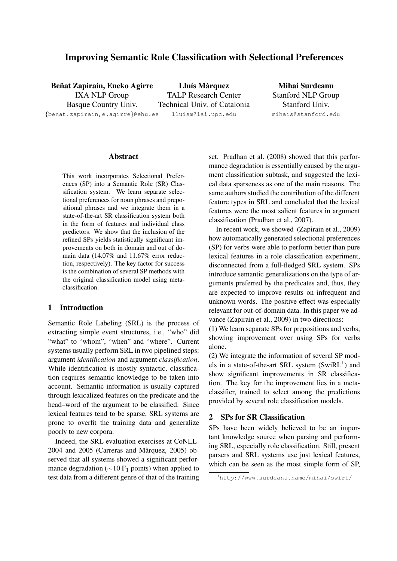# Improving Semantic Role Classification with Selectional Preferences

Beñat Zapirain, Eneko Agirre IXA NLP Group

Basque Country Univ. {benat.zapirain,e.agirre}@ehu.es

Lluís Màrquez TALP Research Center Technical Univ. of Catalonia lluism@lsi.upc.edu

Mihai Surdeanu Stanford NLP Group Stanford Univ. mihais@stanford.edu

# Abstract

This work incorporates Selectional Preferences (SP) into a Semantic Role (SR) Classification system. We learn separate selectional preferences for noun phrases and prepositional phrases and we integrate them in a state-of-the-art SR classification system both in the form of features and individual class predictors. We show that the inclusion of the refined SPs yields statistically significant improvements on both in domain and out of domain data (14.07% and 11.67% error reduction, respectively). The key factor for success is the combination of several SP methods with the original classification model using metaclassification.

# 1 Introduction

Semantic Role Labeling (SRL) is the process of extracting simple event structures, i.e., "who" did "what" to "whom", "when" and "where". Current systems usually perform SRL in two pipelined steps: argument *identification* and argument *classification*. While identification is mostly syntactic, classification requires semantic knowledge to be taken into account. Semantic information is usually captured through lexicalized features on the predicate and the head–word of the argument to be classified. Since lexical features tend to be sparse, SRL systems are prone to overfit the training data and generalize poorly to new corpora.

Indeed, the SRL evaluation exercises at CoNLL- $2004$  and  $2005$  (Carreras and Màrquez,  $2005$ ) observed that all systems showed a significant performance degradation ( $\sim$ 10 F<sub>1</sub> points) when applied to test data from a different genre of that of the training set. Pradhan et al. (2008) showed that this performance degradation is essentially caused by the argument classification subtask, and suggested the lexical data sparseness as one of the main reasons. The same authors studied the contribution of the different feature types in SRL and concluded that the lexical features were the most salient features in argument classification (Pradhan et al., 2007).

In recent work, we showed (Zapirain et al., 2009) how automatically generated selectional preferences (SP) for verbs were able to perform better than pure lexical features in a role classification experiment, disconnected from a full-fledged SRL system. SPs introduce semantic generalizations on the type of arguments preferred by the predicates and, thus, they are expected to improve results on infrequent and unknown words. The positive effect was especially relevant for out-of-domain data. In this paper we advance (Zapirain et al., 2009) in two directions:

(1) We learn separate SPs for prepositions and verbs, showing improvement over using SPs for verbs alone.

(2) We integrate the information of several SP models in a state-of-the-art SRL system  $(SwiRL<sup>1</sup>)$  and show significant improvements in SR classification. The key for the improvement lies in a metaclassifier, trained to select among the predictions provided by several role classification models.

#### 2 SPs for SR Classification

SPs have been widely believed to be an important knowledge source when parsing and performing SRL, especially role classification. Still, present parsers and SRL systems use just lexical features, which can be seen as the most simple form of SP,

<sup>1</sup>http://www.surdeanu.name/mihai/swirl/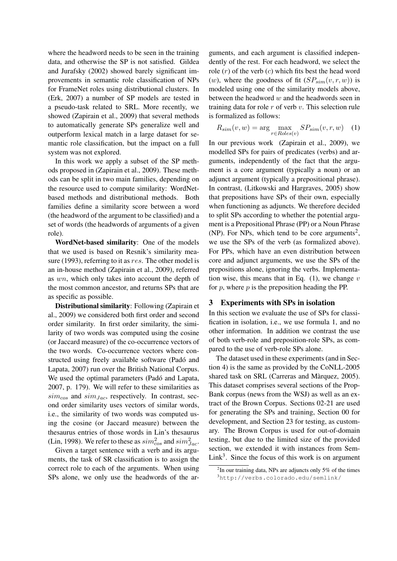where the headword needs to be seen in the training data, and otherwise the SP is not satisfied. Gildea and Jurafsky (2002) showed barely significant improvements in semantic role classification of NPs for FrameNet roles using distributional clusters. In (Erk, 2007) a number of SP models are tested in a pseudo-task related to SRL. More recently, we showed (Zapirain et al., 2009) that several methods to automatically generate SPs generalize well and outperform lexical match in a large dataset for semantic role classification, but the impact on a full system was not explored.

In this work we apply a subset of the SP methods proposed in (Zapirain et al., 2009). These methods can be split in two main families, depending on the resource used to compute similarity: WordNetbased methods and distributional methods. Both families define a similarity score between a word (the headword of the argument to be classified) and a set of words (the headwords of arguments of a given role).

WordNet-based similarity: One of the models that we used is based on Resnik's similarity measure (1993), referring to it as res. The other model is an in-house method (Zapirain et al., 2009), referred as wn, which only takes into account the depth of the most common ancestor, and returns SPs that are as specific as possible.

Distributional similarity: Following (Zapirain et al., 2009) we considered both first order and second order similarity. In first order similarity, the similarity of two words was computed using the cosine (or Jaccard measure) of the co-occurrence vectors of the two words. Co-occurrence vectors where constructed using freely available software (Padó and Lapata, 2007) run over the British National Corpus. We used the optimal parameters (Padó and Lapata, 2007, p. 179). We will refer to these similarities as  $sim_{cos}$  and  $sim_{Jac}$ , respectively. In contrast, second order similarity uses vectors of similar words, i.e., the similarity of two words was computed using the cosine (or Jaccard measure) between the thesaurus entries of those words in Lin's thesaurus (Lin, 1998). We refer to these as  $sim_{cos}^2$  and  $sim_{Jac}^2$ .

Given a target sentence with a verb and its arguments, the task of SR classification is to assign the correct role to each of the arguments. When using SPs alone, we only use the headwords of the ar-

guments, and each argument is classified independently of the rest. For each headword, we select the role  $(r)$  of the verb  $(c)$  which fits best the head word (w), where the goodness of fit  $(SP_{sim}(v, r, w))$  is modeled using one of the similarity models above, between the headword  $w$  and the headwords seen in training data for role  $r$  of verb  $v$ . This selection rule is formalized as follows:

$$
R_{sim}(v, w) = \arg\max_{r \in \text{Roles}(v)} SP_{sim}(v, r, w) \quad (1)
$$

In our previous work (Zapirain et al., 2009), we modelled SPs for pairs of predicates (verbs) and arguments, independently of the fact that the argument is a core argument (typically a noun) or an adjunct argument (typically a prepositional phrase). In contrast, (Litkowski and Hargraves, 2005) show that prepositions have SPs of their own, especially when functioning as adjuncts. We therefore decided to split SPs according to whether the potential argument is a Prepositional Phrase (PP) or a Noun Phrase  $(NP)$ . For NPs, which tend to be core arguments<sup>2</sup>, we use the SPs of the verb (as formalized above). For PPs, which have an even distribution between core and adjunct arguments, we use the SPs of the prepositions alone, ignoring the verbs. Implementation wise, this means that in Eq.  $(1)$ , we change v for  $p$ , where  $p$  is the preposition heading the PP.

#### 3 Experiments with SPs in isolation

In this section we evaluate the use of SPs for classification in isolation, i.e., we use formula 1, and no other information. In addition we contrast the use of both verb-role and preposition-role SPs, as compared to the use of verb-role SPs alone.

The dataset used in these experiments (and in Section 4) is the same as provided by the CoNLL-2005 shared task on SRL (Carreras and Màrquez, 2005). This dataset comprises several sections of the Prop-Bank corpus (news from the WSJ) as well as an extract of the Brown Corpus. Sections 02-21 are used for generating the SPs and training, Section 00 for development, and Section 23 for testing, as customary. The Brown Corpus is used for out-of-domain testing, but due to the limited size of the provided section, we extended it with instances from Sem- $Link<sup>3</sup>$ . Since the focus of this work is on argument

 $2$ In our training data, NPs are adjuncts only 5% of the times <sup>3</sup>http://verbs.colorado.edu/semlink/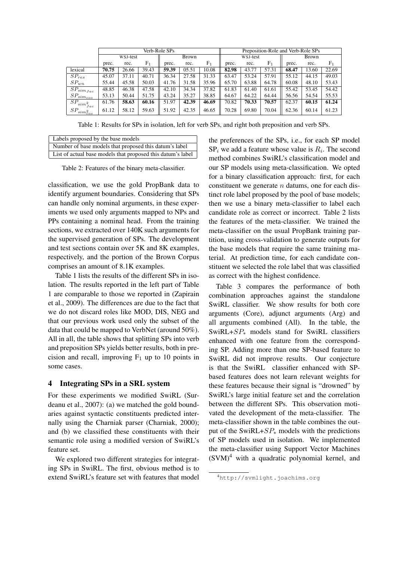|                                 | Verb-Role SPs |       |                |       |       | Preposition-Role and Verb-Role SPs |          |       |                |              |       |                |
|---------------------------------|---------------|-------|----------------|-------|-------|------------------------------------|----------|-------|----------------|--------------|-------|----------------|
|                                 | WSJ-test      |       |                | Brown |       |                                    | WSJ-test |       |                | <b>Brown</b> |       |                |
|                                 | prec.         | rec.  | F <sub>1</sub> | prec. | rec.  | F <sub>1</sub>                     | prec.    | rec.  | F <sub>1</sub> | prec.        | rec.  | F <sub>1</sub> |
| lexical                         | 70.75         | 26.66 | 39.43          | 59.39 | 05.51 | 10.08                              | 82.98    | 43.77 | 57.31          | 68.47        | 13.60 | 22.69          |
| $SP_{res}$                      | 45.07         | 37.11 | 40.71          | 36.34 | 27.58 | 31.33                              | 63.47    | 53.24 | 57.91          | 55.12        | 44.15 | 49.03          |
| $SP_{wn}$                       | 55.44         | 45.58 | 50.03          | 41.76 | 31.58 | 35.96                              | 65.70    | 63.88 | 64.78          | 60.08        | 48.10 | 53.43          |
| $\bar{SP}_{sim_{Jac}}$          | 48.85         | 46.38 | 47.58          | 42.10 | 34.34 | 37.82                              | 61.83    | 61.40 | 61.61          | 55.42        | 53.45 | 54.42          |
| $SP_{sim_{cos}}$                | 53.13         | 50.44 | 51.75          | 43.24 | 35.27 | 38.85                              | 64.67    | 64.22 | 64.44          | 56.56        | 54.54 | 55.53          |
|                                 | 61.76         | 58.63 | 60.16          | 51.97 | 42.39 | 46.69                              | 70.82    | 70.33 | 70.57          | 62.37        | 60.15 | 61.24          |
| $SP_{si \underline{m_{cos}^2}}$ | 61.12         | 58.12 | 59.63          | 51.92 | 42.35 | 46.65                              | 70.28    | 69.80 | 70.04          | 62.36        | 60.14 | 61.23          |

Table 1: Results for SPs in isolation, left for verb SPs, and right both preposition and verb SPs.

| Labels proposed by the base models                          |  |  |  |  |  |
|-------------------------------------------------------------|--|--|--|--|--|
| Number of base models that proposed this datum's label      |  |  |  |  |  |
| List of actual base models that proposed this datum's label |  |  |  |  |  |

Table 2: Features of the binary meta-classifier.

classification, we use the gold PropBank data to identify argument boundaries. Considering that SPs can handle only nominal arguments, in these experiments we used only arguments mapped to NPs and PPs containing a nominal head. From the training sections, we extracted over 140K such arguments for the supervised generation of SPs. The development and test sections contain over 5K and 8K examples, respectively, and the portion of the Brown Corpus comprises an amount of 8.1K examples.

Table 1 lists the results of the different SPs in isolation. The results reported in the left part of Table 1 are comparable to those we reported in (Zapirain et al., 2009). The differences are due to the fact that we do not discard roles like MOD, DIS, NEG and that our previous work used only the subset of the data that could be mapped to VerbNet (around 50%). All in all, the table shows that splitting SPs into verb and preposition SPs yields better results, both in precision and recall, improving  $F_1$  up to 10 points in some cases.

# 4 Integrating SPs in a SRL system

For these experiments we modified SwiRL (Surdeanu et al., 2007): (a) we matched the gold boundaries against syntactic constituents predicted internally using the Charniak parser (Charniak, 2000); and (b) we classified these constituents with their semantic role using a modified version of SwiRL's feature set.

We explored two different strategies for integrating SPs in SwiRL. The first, obvious method is to extend SwiRL's feature set with features that model the preferences of the SPs, i.e., for each SP model  $SP<sub>i</sub>$  we add a feature whose value is  $R<sub>i</sub>$ . The second method combines SwiRL's classification model and our SP models using meta-classification. We opted for a binary classification approach: first, for each constituent we generate  $n$  datums, one for each distinct role label proposed by the pool of base models; then we use a binary meta-classifier to label each candidate role as correct or incorrect. Table 2 lists the features of the meta-classifier. We trained the meta-classifier on the usual PropBank training partition, using cross-validation to generate outputs for the base models that require the same training material. At prediction time, for each candidate constituent we selected the role label that was classified as correct with the highest confidence.

Table 3 compares the performance of both combination approaches against the standalone SwiRL classifier. We show results for both core arguments (Core), adjunct arguments (Arg) and all arguments combined (All). In the table, the SwiRL+ $SP_*$  models stand for SwiRL classifiers enhanced with one feature from the corresponding SP. Adding more than one SP-based feature to SwiRL did not improve results. Our conjecture is that the SwiRL classifier enhanced with SPbased features does not learn relevant weights for these features because their signal is "drowned" by SwiRL's large initial feature set and the correlation between the different SPs. This observation motivated the development of the meta-classifier. The meta-classifier shown in the table combines the output of the SwiRL+ $SP_*$  models with the predictions of SP models used in isolation. We implemented the meta-classifier using Support Vector Machines  $(SVM)^4$  with a quadratic polynomial kernel, and

<sup>4</sup>http://svmlight.joachims.org